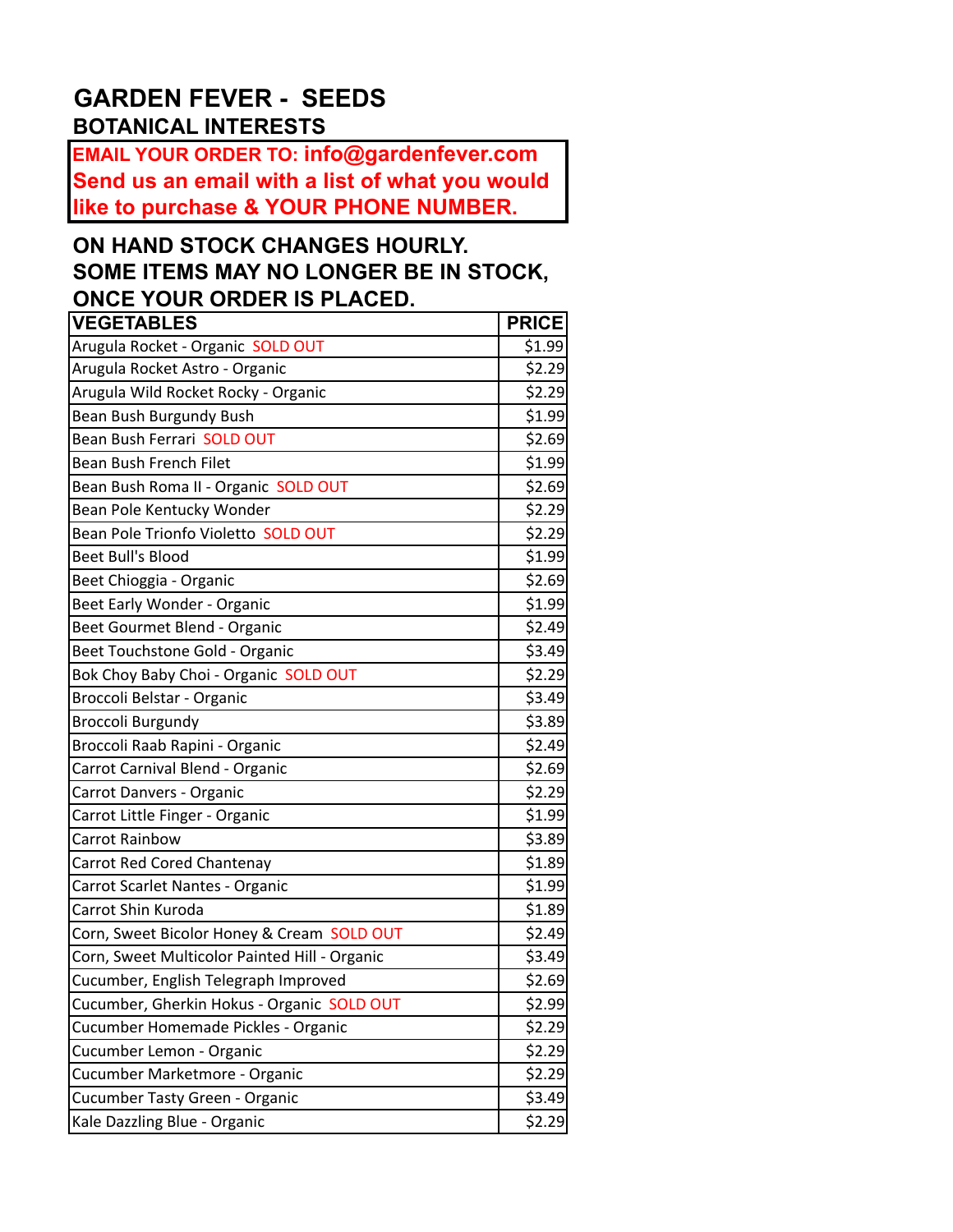## **GARDEN FEVER - SEEDS BOTANICAL INTERESTS**

**EMAIL YOUR ORDER TO: info@gardenfever.com Send us an email with a list of what you would like to purchase & YOUR PHONE NUMBER.**

## **ON HAND STOCK CHANGES HOURLY. SOME ITEMS MAY NO LONGER BE IN STOCK, ONCE YOUR ORDER IS PLACED.**

| <b>VEGETABLES</b>                             | <b>PRICE</b> |
|-----------------------------------------------|--------------|
| Arugula Rocket - Organic SOLD OUT             | \$1.99       |
| Arugula Rocket Astro - Organic                | \$2.29       |
| Arugula Wild Rocket Rocky - Organic           | \$2.29       |
| Bean Bush Burgundy Bush                       | \$1.99       |
| Bean Bush Ferrari SOLD OUT                    | \$2.69       |
| Bean Bush French Filet                        | \$1.99       |
| Bean Bush Roma II - Organic SOLD OUT          | \$2.69       |
| Bean Pole Kentucky Wonder                     | \$2.29       |
| Bean Pole Trionfo Violetto SOLD OUT           | \$2.29       |
| <b>Beet Bull's Blood</b>                      | \$1.99       |
| Beet Chioggia - Organic                       | \$2.69       |
| Beet Early Wonder - Organic                   | \$1.99       |
| Beet Gourmet Blend - Organic                  | \$2.49       |
| Beet Touchstone Gold - Organic                | \$3.49       |
| Bok Choy Baby Choi - Organic SOLD OUT         | \$2.29       |
| Broccoli Belstar - Organic                    | \$3.49       |
| <b>Broccoli Burgundy</b>                      | \$3.89       |
| Broccoli Raab Rapini - Organic                | \$2.49       |
| Carrot Carnival Blend - Organic               | \$2.69       |
| Carrot Danvers - Organic                      | \$2.29       |
| Carrot Little Finger - Organic                | \$1.99       |
| <b>Carrot Rainbow</b>                         | \$3.89       |
| Carrot Red Cored Chantenay                    | \$1.89       |
| Carrot Scarlet Nantes - Organic               | \$1.99       |
| Carrot Shin Kuroda                            | \$1.89       |
| Corn, Sweet Bicolor Honey & Cream SOLD OUT    | \$2.49       |
| Corn, Sweet Multicolor Painted Hill - Organic | \$3.49       |
| Cucumber, English Telegraph Improved          | \$2.69       |
| Cucumber, Gherkin Hokus - Organic SOLD OUT    | \$2.99       |
| Cucumber Homemade Pickles - Organic           | \$2.29       |
| Cucumber Lemon - Organic                      | \$2.29       |
| Cucumber Marketmore - Organic                 | \$2.29       |
| Cucumber Tasty Green - Organic                | \$3.49       |
| Kale Dazzling Blue - Organic                  | \$2.29       |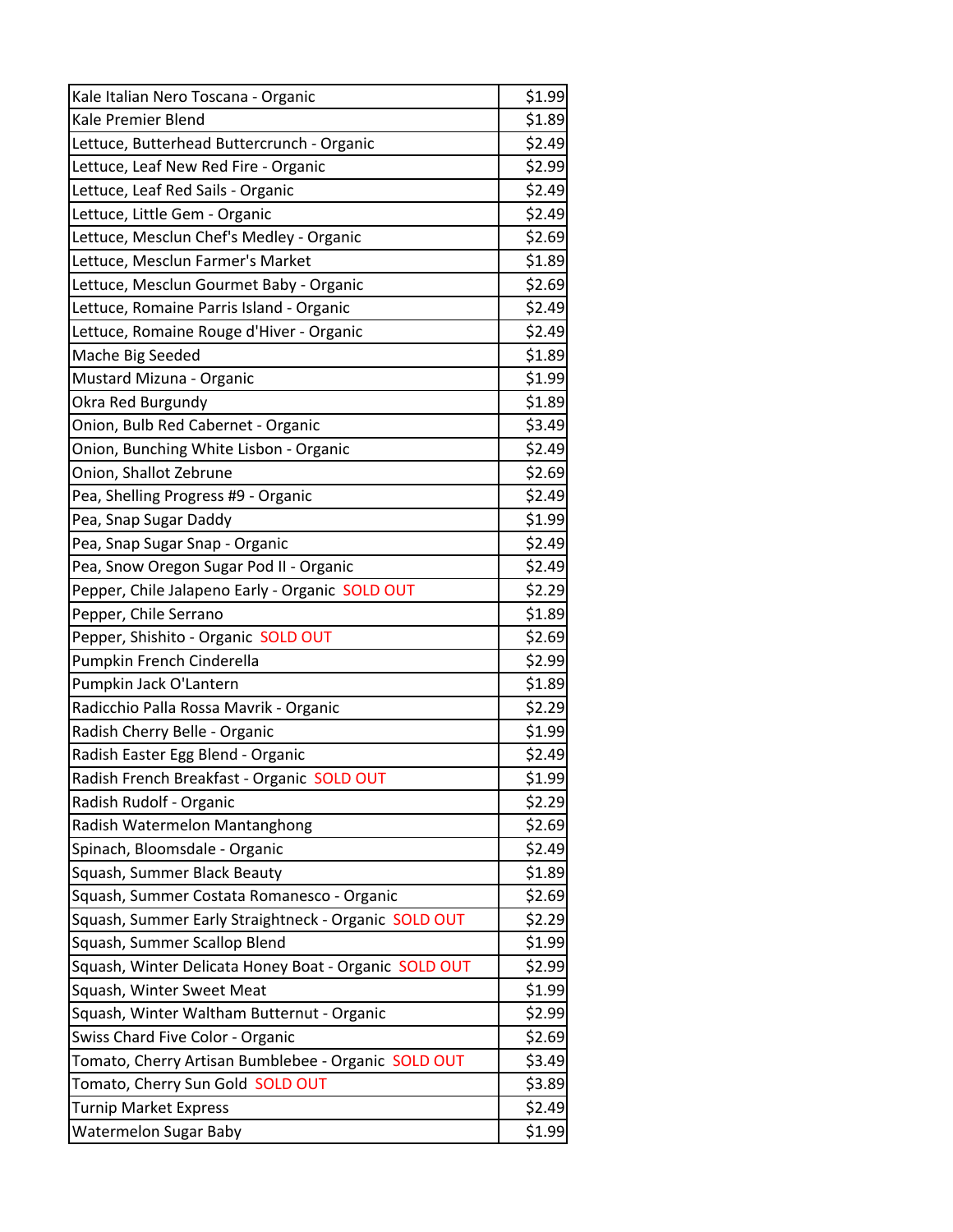| Kale Italian Nero Toscana - Organic                   | \$1.99 |
|-------------------------------------------------------|--------|
| Kale Premier Blend                                    | \$1.89 |
| Lettuce, Butterhead Buttercrunch - Organic            | \$2.49 |
| Lettuce, Leaf New Red Fire - Organic                  | \$2.99 |
| Lettuce, Leaf Red Sails - Organic                     | \$2.49 |
| Lettuce, Little Gem - Organic                         | \$2.49 |
| Lettuce, Mesclun Chef's Medley - Organic              | \$2.69 |
| Lettuce, Mesclun Farmer's Market                      | \$1.89 |
| Lettuce, Mesclun Gourmet Baby - Organic               | \$2.69 |
| Lettuce, Romaine Parris Island - Organic              | \$2.49 |
| Lettuce, Romaine Rouge d'Hiver - Organic              | \$2.49 |
| Mache Big Seeded                                      | \$1.89 |
| Mustard Mizuna - Organic                              | \$1.99 |
| Okra Red Burgundy                                     | \$1.89 |
| Onion, Bulb Red Cabernet - Organic                    | \$3.49 |
| Onion, Bunching White Lisbon - Organic                | \$2.49 |
| Onion, Shallot Zebrune                                | \$2.69 |
| Pea, Shelling Progress #9 - Organic                   | \$2.49 |
| Pea, Snap Sugar Daddy                                 | \$1.99 |
| Pea, Snap Sugar Snap - Organic                        | \$2.49 |
| Pea, Snow Oregon Sugar Pod II - Organic               | \$2.49 |
| Pepper, Chile Jalapeno Early - Organic SOLD OUT       | \$2.29 |
| Pepper, Chile Serrano                                 | \$1.89 |
| Pepper, Shishito - Organic SOLD OUT                   | \$2.69 |
| Pumpkin French Cinderella                             | \$2.99 |
| Pumpkin Jack O'Lantern                                | \$1.89 |
| Radicchio Palla Rossa Mavrik - Organic                | \$2.29 |
| Radish Cherry Belle - Organic                         | \$1.99 |
| Radish Easter Egg Blend - Organic                     | \$2.49 |
| Radish French Breakfast - Organic SOLD OUT            | \$1.99 |
| Radish Rudolf - Organic                               | \$2.29 |
| Radish Watermelon Mantanghong                         | \$2.69 |
| Spinach, Bloomsdale - Organic                         | \$2.49 |
| Squash, Summer Black Beauty                           | \$1.89 |
| Squash, Summer Costata Romanesco - Organic            | \$2.69 |
| Squash, Summer Early Straightneck - Organic SOLD OUT  | \$2.29 |
| Squash, Summer Scallop Blend                          | \$1.99 |
| Squash, Winter Delicata Honey Boat - Organic SOLD OUT | \$2.99 |
| Squash, Winter Sweet Meat                             | \$1.99 |
| Squash, Winter Waltham Butternut - Organic            | \$2.99 |
| Swiss Chard Five Color - Organic                      | \$2.69 |
| Tomato, Cherry Artisan Bumblebee - Organic SOLD OUT   | \$3.49 |
| Tomato, Cherry Sun Gold SOLD OUT                      | \$3.89 |
| <b>Turnip Market Express</b>                          | \$2.49 |
| <b>Watermelon Sugar Baby</b>                          | \$1.99 |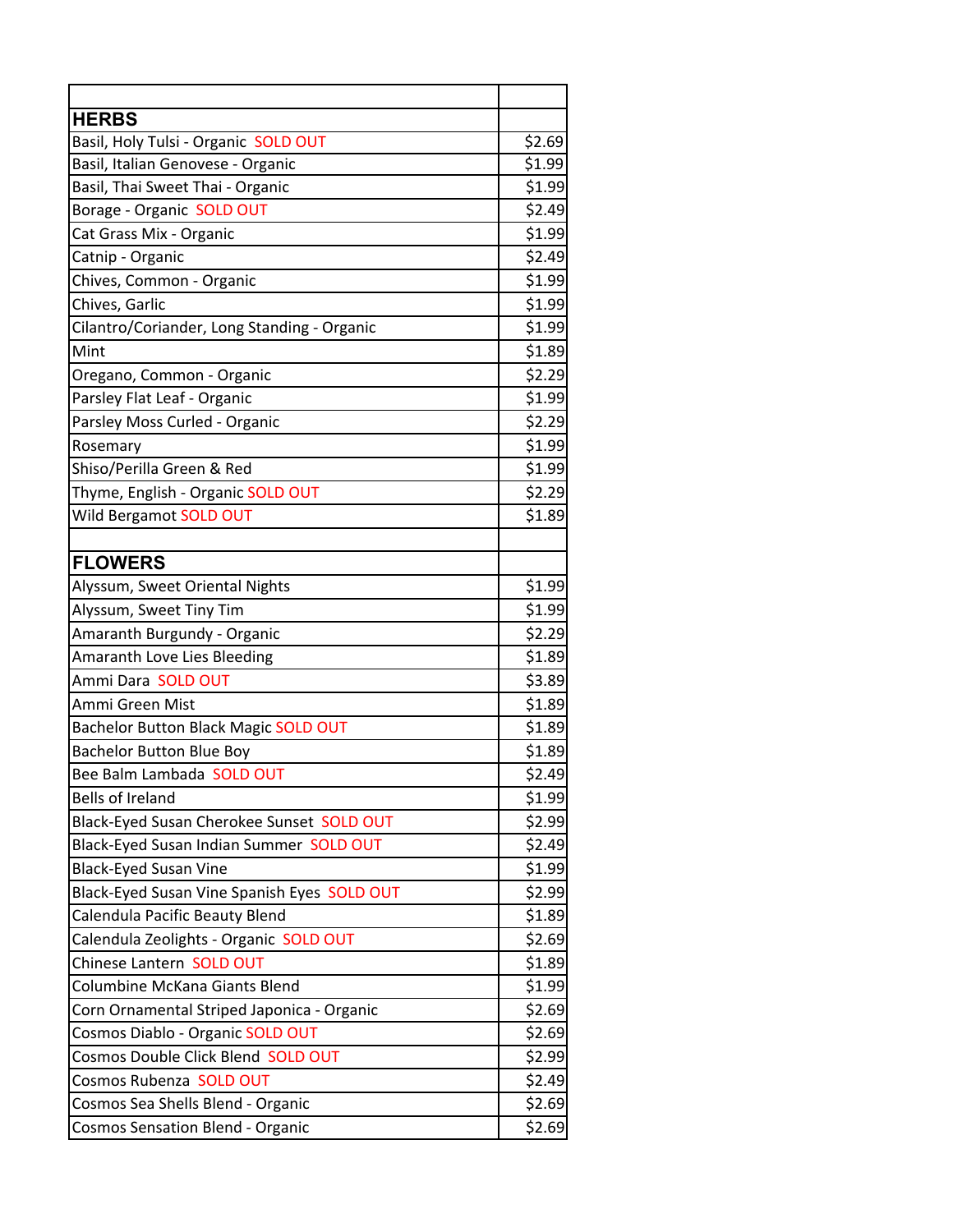| <b>HERBS</b>                                |        |
|---------------------------------------------|--------|
| Basil, Holy Tulsi - Organic SOLD OUT        | \$2.69 |
| Basil, Italian Genovese - Organic           | \$1.99 |
| Basil, Thai Sweet Thai - Organic            | \$1.99 |
| Borage - Organic SOLD OUT                   | \$2.49 |
| Cat Grass Mix - Organic                     | \$1.99 |
| Catnip - Organic                            | \$2.49 |
| Chives, Common - Organic                    | \$1.99 |
| Chives, Garlic                              | \$1.99 |
| Cilantro/Coriander, Long Standing - Organic | \$1.99 |
| <b>I</b> Mint                               | \$1.89 |
| Oregano, Common - Organic                   | \$2.29 |
| Parsley Flat Leaf - Organic                 | \$1.99 |
| Parsley Moss Curled - Organic               | \$2.29 |
| Rosemary                                    | \$1.99 |
| Shiso/Perilla Green & Red                   | \$1.99 |
| Thyme, English - Organic SOLD OUT           | \$2.29 |
| Wild Bergamot SOLD OUT                      | \$1.89 |
|                                             |        |
| <b>FLOWERS</b>                              |        |
| Alyssum, Sweet Oriental Nights              | \$1.99 |
| Alyssum, Sweet Tiny Tim                     | \$1.99 |
| Amaranth Burgundy - Organic                 | \$2.29 |
| Amaranth Love Lies Bleeding                 | \$1.89 |
| Ammi Dara SOLD OUT                          | \$3.89 |
| Ammi Green Mist                             | \$1.89 |
| Bachelor Button Black Magic SOLD OUT        | \$1.89 |
| <b>Bachelor Button Blue Boy</b>             | \$1.89 |
| Bee Balm Lambada SOLD OUT                   | \$2.49 |
| <b>Bells of Ireland</b>                     | \$1.99 |
| Black-Eyed Susan Cherokee Sunset SOLD OUT   | \$2.99 |
| Black-Eyed Susan Indian Summer SOLD OUT     | \$2.49 |
| <b>Black-Eyed Susan Vine</b>                | \$1.99 |
| Black-Eyed Susan Vine Spanish Eyes SOLD OUT | \$2.99 |
| Calendula Pacific Beauty Blend              | \$1.89 |
| Calendula Zeolights - Organic SOLD OUT      | \$2.69 |
| Chinese Lantern SOLD OUT                    | \$1.89 |
| Columbine McKana Giants Blend               | \$1.99 |
| Corn Ornamental Striped Japonica - Organic  | \$2.69 |
| Cosmos Diablo - Organic SOLD OUT            | \$2.69 |
| Cosmos Double Click Blend SOLD OUT          | \$2.99 |
| Cosmos Rubenza SOLD OUT                     | \$2.49 |
| Cosmos Sea Shells Blend - Organic           | \$2.69 |
| <b>Cosmos Sensation Blend - Organic</b>     | \$2.69 |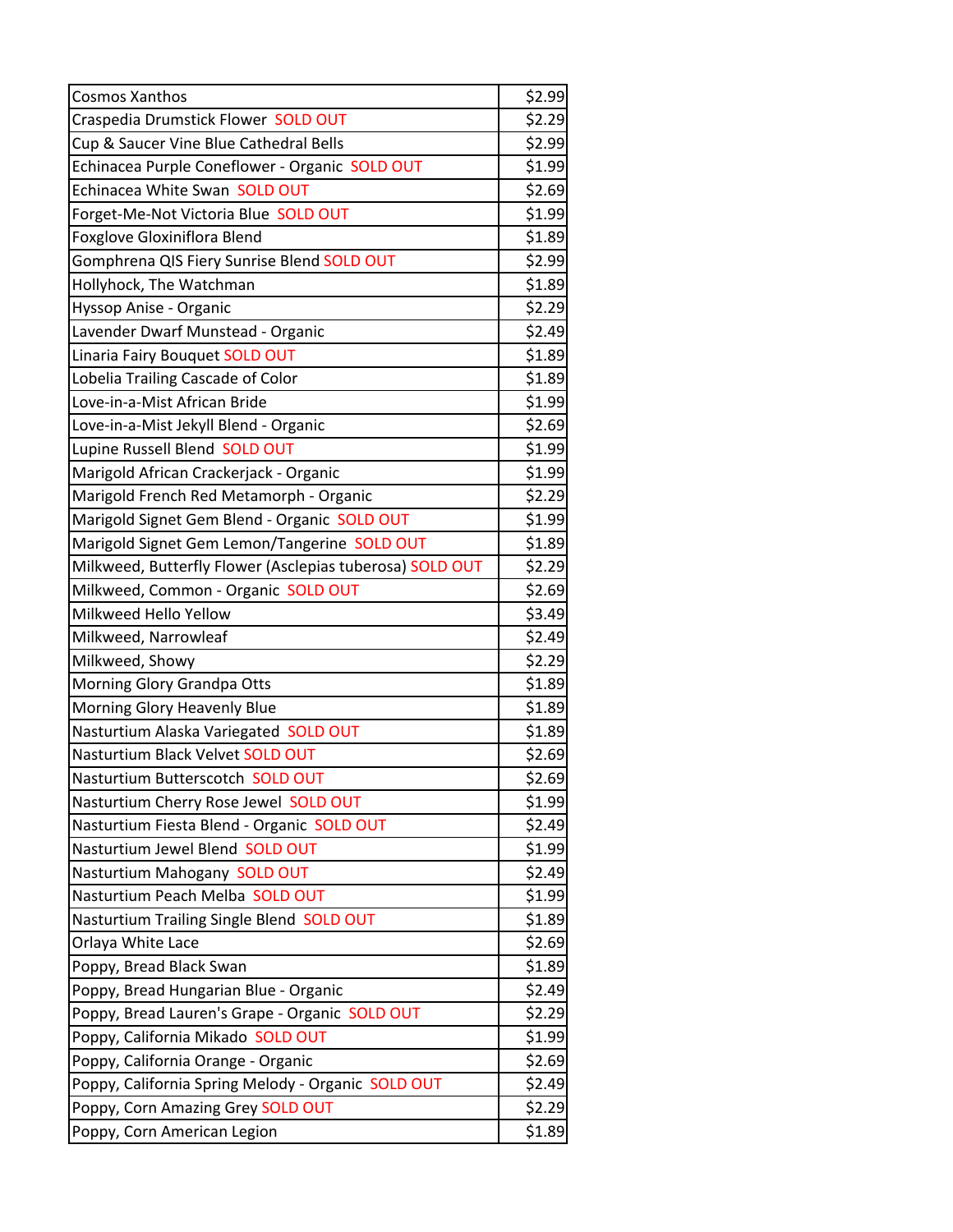| <b>Cosmos Xanthos</b>                                    | \$2.99 |
|----------------------------------------------------------|--------|
| Craspedia Drumstick Flower SOLD OUT                      | \$2.29 |
| Cup & Saucer Vine Blue Cathedral Bells                   | \$2.99 |
| Echinacea Purple Coneflower - Organic SOLD OUT           | \$1.99 |
| Echinacea White Swan SOLD OUT                            | \$2.69 |
| Forget-Me-Not Victoria Blue SOLD OUT                     | \$1.99 |
| <b>Foxglove Gloxiniflora Blend</b>                       | \$1.89 |
| Gomphrena QIS Fiery Sunrise Blend SOLD OUT               | \$2.99 |
| Hollyhock, The Watchman                                  | \$1.89 |
| Hyssop Anise - Organic                                   | \$2.29 |
| Lavender Dwarf Munstead - Organic                        | \$2.49 |
| Linaria Fairy Bouquet SOLD OUT                           | \$1.89 |
| Lobelia Trailing Cascade of Color                        | \$1.89 |
| Love-in-a-Mist African Bride                             | \$1.99 |
| Love-in-a-Mist Jekyll Blend - Organic                    | \$2.69 |
| Lupine Russell Blend SOLD OUT                            | \$1.99 |
| Marigold African Crackerjack - Organic                   | \$1.99 |
| Marigold French Red Metamorph - Organic                  | \$2.29 |
| Marigold Signet Gem Blend - Organic SOLD OUT             | \$1.99 |
| Marigold Signet Gem Lemon/Tangerine SOLD OUT             | \$1.89 |
| Milkweed, Butterfly Flower (Asclepias tuberosa) SOLD OUT | \$2.29 |
| Milkweed, Common - Organic SOLD OUT                      | \$2.69 |
| Milkweed Hello Yellow                                    | \$3.49 |
| Milkweed, Narrowleaf                                     | \$2.49 |
| Milkweed, Showy                                          | \$2.29 |
| Morning Glory Grandpa Otts                               | \$1.89 |
| Morning Glory Heavenly Blue                              | \$1.89 |
| Nasturtium Alaska Variegated SOLD OUT                    | \$1.89 |
| Nasturtium Black Velvet SOLD OUT                         | \$2.69 |
| Nasturtium Butterscotch SOLD OUT                         | \$2.69 |
| Nasturtium Cherry Rose Jewel SOLD OUT                    | \$1.99 |
| Nasturtium Fiesta Blend - Organic SOLD OUT               | \$2.49 |
| Nasturtium Jewel Blend SOLD OUT                          | \$1.99 |
| Nasturtium Mahogany SOLD OUT                             | \$2.49 |
| Nasturtium Peach Melba SOLD OUT                          | \$1.99 |
| Nasturtium Trailing Single Blend SOLD OUT                | \$1.89 |
| Orlaya White Lace                                        | \$2.69 |
| Poppy, Bread Black Swan                                  | \$1.89 |
| Poppy, Bread Hungarian Blue - Organic                    | \$2.49 |
| Poppy, Bread Lauren's Grape - Organic SOLD OUT           | \$2.29 |
| Poppy, California Mikado SOLD OUT                        | \$1.99 |
| Poppy, California Orange - Organic                       | \$2.69 |
| Poppy, California Spring Melody - Organic SOLD OUT       | \$2.49 |
| Poppy, Corn Amazing Grey SOLD OUT                        | \$2.29 |
| Poppy, Corn American Legion                              | \$1.89 |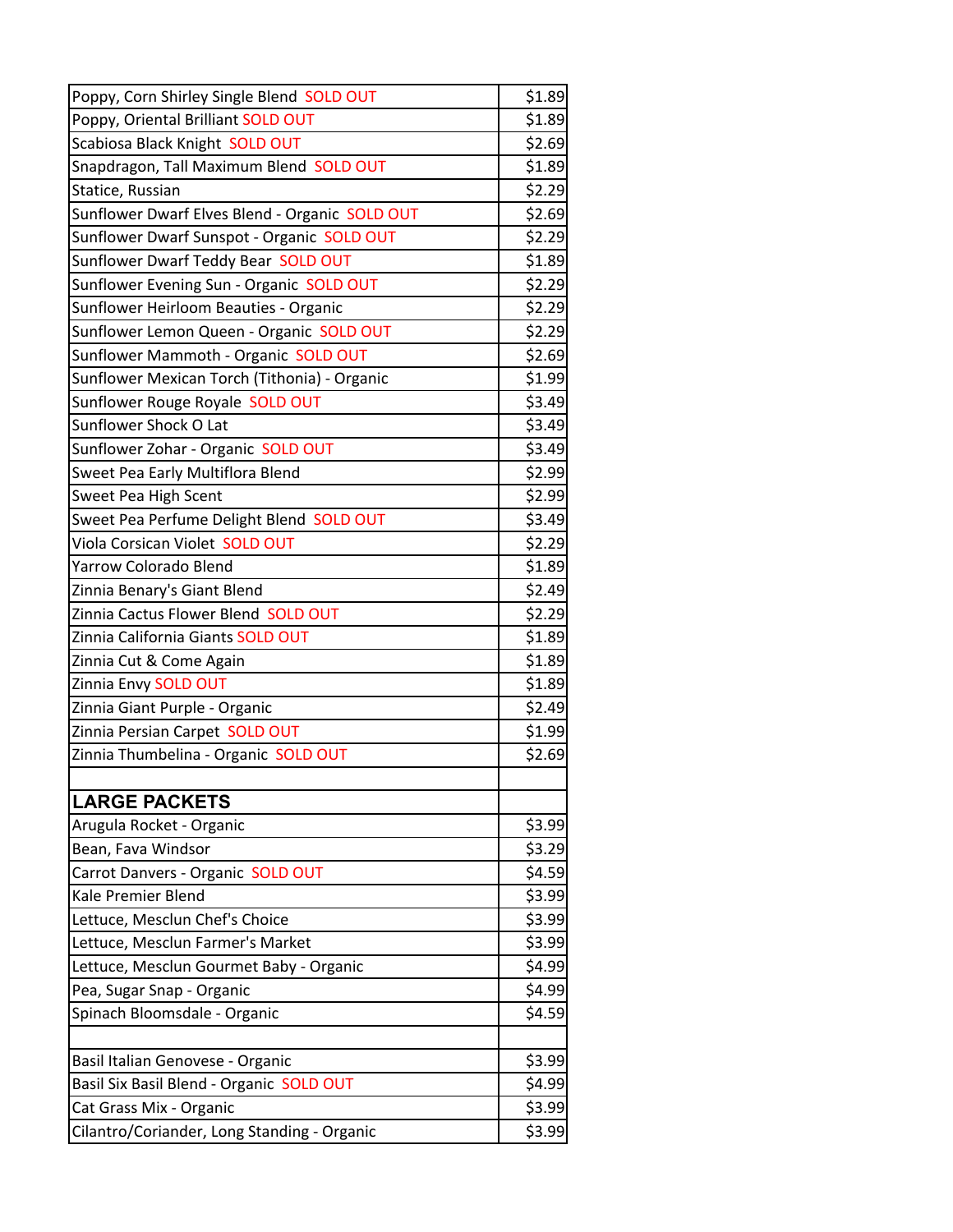| Poppy, Corn Shirley Single Blend SOLD OUT      | \$1.89 |
|------------------------------------------------|--------|
| Poppy, Oriental Brilliant SOLD OUT             | \$1.89 |
| Scabiosa Black Knight SOLD OUT                 | \$2.69 |
| Snapdragon, Tall Maximum Blend SOLD OUT        | \$1.89 |
| Statice, Russian                               | \$2.29 |
| Sunflower Dwarf Elves Blend - Organic SOLD OUT | \$2.69 |
| Sunflower Dwarf Sunspot - Organic SOLD OUT     | \$2.29 |
| Sunflower Dwarf Teddy Bear SOLD OUT            | \$1.89 |
| Sunflower Evening Sun - Organic SOLD OUT       | \$2.29 |
| Sunflower Heirloom Beauties - Organic          | \$2.29 |
| Sunflower Lemon Queen - Organic SOLD OUT       | \$2.29 |
| Sunflower Mammoth - Organic SOLD OUT           | \$2.69 |
| Sunflower Mexican Torch (Tithonia) - Organic   | \$1.99 |
| Sunflower Rouge Royale SOLD OUT                | \$3.49 |
| Sunflower Shock O Lat                          | \$3.49 |
| Sunflower Zohar - Organic SOLD OUT             | \$3.49 |
| Sweet Pea Early Multiflora Blend               | \$2.99 |
| Sweet Pea High Scent                           | \$2.99 |
| Sweet Pea Perfume Delight Blend SOLD OUT       | \$3.49 |
| Viola Corsican Violet SOLD OUT                 | \$2.29 |
| <b>Yarrow Colorado Blend</b>                   | \$1.89 |
| Zinnia Benary's Giant Blend                    | \$2.49 |
| Zinnia Cactus Flower Blend SOLD OUT            | \$2.29 |
| Zinnia California Giants SOLD OUT              | \$1.89 |
| Zinnia Cut & Come Again                        | \$1.89 |
| Zinnia Envy SOLD OUT                           | \$1.89 |
| Zinnia Giant Purple - Organic                  | \$2.49 |
| Zinnia Persian Carpet SOLD OUT                 | \$1.99 |
| Zinnia Thumbelina - Organic SOLD OUT           | \$2.69 |
|                                                |        |
| <b>LARGE PACKETS</b>                           |        |
| Arugula Rocket - Organic                       | \$3.99 |
| Bean, Fava Windsor                             | \$3.29 |
| Carrot Danvers - Organic SOLD OUT              | \$4.59 |
| Kale Premier Blend                             | \$3.99 |
| Lettuce, Mesclun Chef's Choice                 | \$3.99 |
| Lettuce, Mesclun Farmer's Market               | \$3.99 |
| Lettuce, Mesclun Gourmet Baby - Organic        | \$4.99 |
| Pea, Sugar Snap - Organic                      | \$4.99 |
| Spinach Bloomsdale - Organic                   | \$4.59 |
|                                                |        |
| Basil Italian Genovese - Organic               | \$3.99 |
| Basil Six Basil Blend - Organic SOLD OUT       | \$4.99 |
| Cat Grass Mix - Organic                        | \$3.99 |
| Cilantro/Coriander, Long Standing - Organic    | \$3.99 |